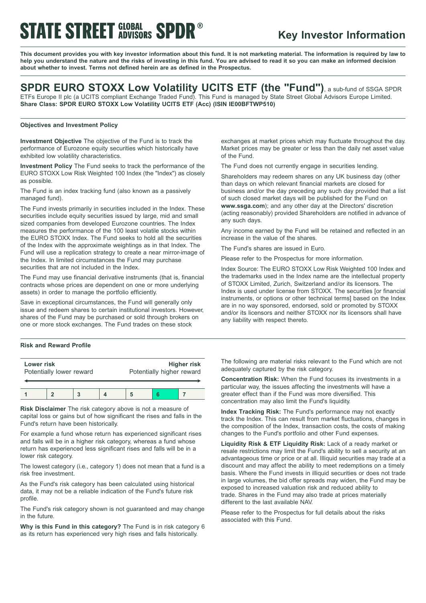# **STATE STREET GLOBAL SPDR®**

### **Key Investor Information**

This document provides you with key investor information about this fund. It is not marketing material. The information is required by law to help you understand the nature and the risks of investing in this fund. You are advised to read it so you can make an informed decision **about whether to invest. Terms not defined herein are as defined in the Prospectus.**

### **SPDR EURO STOXX Low Volatility UCITS ETF (the "Fund")**, <sup>a</sup> sub-fund of SSGA SPDR

ETFs Europe II plc (a UCITS compliant Exchange Traded Fund). This Fund is managed by State Street Global Advisors Europe Limited. **Share Class: SPDR EURO STOXX Low Volatility UCITS ETF (Acc) (ISIN IE00BFTWP510)**

### **Objectives and Investment Policy**

**Investment Objective** The objective of the Fund is to track the performance of Eurozone equity securities which historically have exhibited low volatility characteristics.

**Investment Policy** The Fund seeks to track the performance of the EURO STOXX Low Risk Weighted 100 Index (the "Index") as closely as possible.

The Fund is an index tracking fund (also known as a passively managed fund).

The Fund invests primarily in securities included in the Index. These securities include equity securities issued by large, mid and small sized companies from developed Eurozone countries. The Index measures the performance of the 100 least volatile stocks within the EURO STOXX Index. The Fund seeks to hold all the securities of the Index with the approximate weightings as in that Index. The Fund will use a replication strategy to create a near mirror-image of the Index. In limited circumstances the Fund may purchase securities that are not included in the Index.

The Fund may use financial derivative instruments (that is, financial contracts whose prices are dependent on one or more underlying assets) in order to manage the portfolio efficiently.

Save in exceptional circumstances, the Fund will generally only issue and redeem shares to certain institutional investors. However, shares of the Fund may be purchased or sold through brokers on one or more stock exchanges. The Fund trades on these stock

### **Risk and Reward Profile**

| Lower risk<br>Potentially lower reward |  |  | <b>Higher risk</b><br>Potentially higher reward |  |  |
|----------------------------------------|--|--|-------------------------------------------------|--|--|
|                                        |  |  |                                                 |  |  |

**Risk Disclaimer** The risk category above is not a measure of capital loss or gains but of how significant the rises and falls in the Fund's return have been historically.

For example a fund whose return has experienced significant rises and falls will be in a higher risk category, whereas a fund whose return has experienced less significant rises and falls will be in a lower risk category.

The lowest category (i.e., category 1) does not mean that a fund is a risk free investment.

As the Fund's risk category has been calculated using historical data, it may not be a reliable indication of the Fund's future risk profile.

The Fund's risk category shown is not guaranteed and may change in the future.

**Why is this Fund in this category?** The Fund is in risk category 6 as its return has experienced very high rises and falls historically.

exchanges at market prices which may fluctuate throughout the day. Market prices may be greater or less than the daily net asset value of the Fund.

The Fund does not currently engage in securities lending.

Shareholders may redeem shares on any UK business day (other than days on which relevant financial markets are closed for business and/or the day preceding any such day provided that a list of such closed market days will be published for the Fund on **www.ssga.com**); and any other day at the Directors' discretion (acting reasonably) provided Shareholders are notified in advance of any such days.

Any income earned by the Fund will be retained and reflected in an increase in the value of the shares.

The Fund's shares are issued in Euro.

Please refer to the Prospectus for more information.

Index Source: The EURO STOXX Low Risk Weighted 100 Index and the trademarks used in the Index name are the intellectual property of STOXX Limited, Zurich, Switzerland and/or its licensors. The Index is used under license from STOXX. The securities [or financial instruments, or options or other technical terms] based on the Index are in no way sponsored, endorsed, sold or promoted by STOXX and/or its licensors and neither STOXX nor its licensors shall have any liability with respect thereto.

The following are material risks relevant to the Fund which are not adequately captured by the risk category.

**Concentration Risk:** When the Fund focuses its investments in a particular way, the issues affecting the investments will have a greater effect than if the Fund was more diversified. This concentration may also limit the Fund's liquidity.

**Index Tracking Risk:** The Fund's performance may not exactly track the Index. This can result from market fluctuations, changes in the composition of the Index, transaction costs, the costs of making changes to the Fund's portfolio and other Fund expenses.

**Liquidity Risk & ETF Liquidity Risk:** Lack of a ready market or resale restrictions may limit the Fund's ability to sell a security at an advantageous time or price or at all. Illiquid securities may trade at a discount and may affect the ability to meet redemptions on a timely basis. Where the Fund invests in illiquid securities or does not trade in large volumes, the bid offer spreads may widen, the Fund may be exposed to increased valuation risk and reduced ability to trade. Shares in the Fund may also trade at prices materially different to the last available NAV.

Please refer to the Prospectus for full details about the risks associated with this Fund.